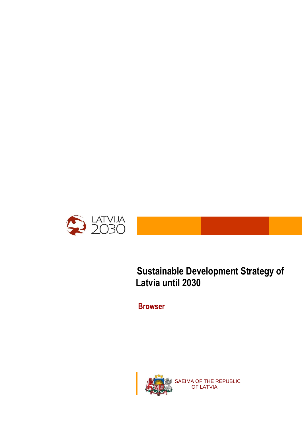

## **Sustainable Development Strategy of Latvia until 2030**

**Browser**

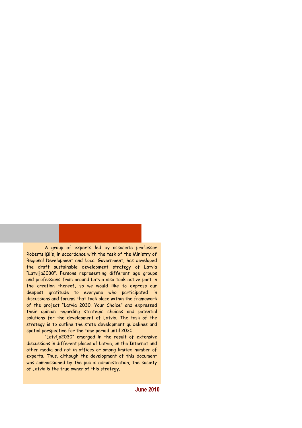A group of experts led by associate professor Roberts Ķīlis, in accordance with the task of the Ministry of Regional Development and Local Government, has developed the draft sustainable development strategy of Latvia "Latvija2030". Persons representing different age groups and professions from around Latvia also took active part in the creation thereof, so we would like to express our deepest gratitude to everyone who participated in discussions and forums that took place within the framework of the project "Latvia 2030. Your Choice" and expressed their opinion regarding strategic choices and potential solutions for the development of Latvia. The task of the strategy is to outline the state development guidelines and spatial perspective for the time period until 2030.

"Latvija2030" emerged in the result of extensive discussions in different places of Latvia, on the Internet and other media and not in offices or among limited number of experts. Thus, although the development of this document was commissioned by the public administration, the society of Latvia is the true owner of this strategy.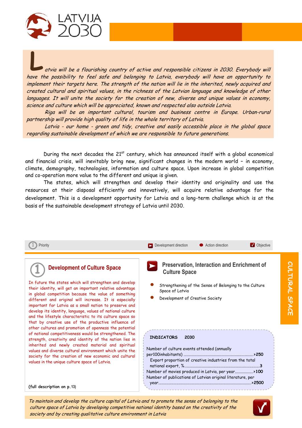

**L** atvia will be a flourishing country of active and responsible citizens in 2030. Everybody will have the possibility to feel safe and belonging to Latvia, everybody will have an opportunity to implement their targets here. The strength of the nation will lie in the inherited, newly acquired and created cultural and spiritual values, in the richness of the Latvian language and knowledge of other languages. It will unite the society for the creation of new, diverse and unique values in economy, science and culture which will be appreciated, known and respected also outside Latvia.

Riga will be an important cultural, tourism and business centre in Europe. Urban-rural partnership will provide high quality of life in the whole territory of Latvia.

Latvia - our home - green and tidy, creative and easily accessible place in the global space regarding sustainable development of which we are responsible to future generations.

During the next decades the 21<sup>st</sup> century, which has announced itself with a global economical and financial crisis, will inevitably bring new, significant changes in the modern world – in economy, climate, demography, technologies, information and culture space. Upon increase in global competition and co-operation more value to the different and unique is given.

The states, which will strengthen and develop their identity and originality and use the resources at their disposal efficiently and innovatively, will acquire relative advantage for the development. This is a development opportunity for Latvia and a long-term challenge which is at the basis of the sustainable development strategy of Latvia until 2030.



To maintain and develop the culture capital of Latvia and to promote the sense of belonging to the culture space of Latvia by developing competitive national identity based on the creativity of the society and by creating qualitative culture environment in Latvia



CULTURAL SPACE **CULTURAL SPACE**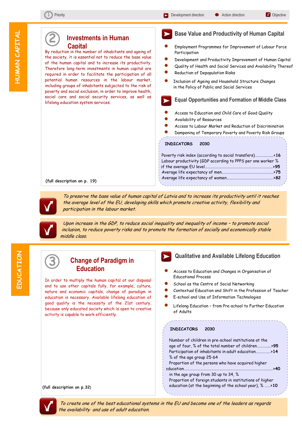**M** Objective

j

**2**

## **Investments in Human Capital**

By reduction in the number of inhabitants and ageing of the society, it is essential not to reduce the base value of the human capital and to increase its productivity. Therefore long-term investments in human capital are required in order to facilitate the participation of all potential human resources in the labour market, including groups of inhabitants subjected to the risk of poverty and social exclusion, in order to improve health, social care and social security services, as well as lifelong education system services.

### **Base Value and Productivity of Human Capital** l

- Employment Programmes for Improvement of Labour Force Participation
- Development and Productivity Improvement of Human Capital
- Quality of Health and Social Services and Availability Thereof
- Reduction of Depopulation Risks
- Inclusion of Ageing and Household Structure Changes in the Policy of Public and Social Services

## **Equal Opportunities and Formation of Middle Class**

- Access to Education and Child Care of Good Quality
- Availability of Resources
- Access to Labour Market and Reduction of Discrimination
- Dampening of Temporary Poverty and Poverty Risk Groups

#### **INDICATORS 2030**

| Labour productivity (GDP according to PPPS per one worker % |
|-------------------------------------------------------------|
|                                                             |
|                                                             |
|                                                             |
|                                                             |

 **(full description on p. 19)** 



 To preserve the base value of human capital of Latvia and to increase its productivity until it reaches the average level of the EU, developing skills which promote creative activity, flexibility and participation in the labour market.



**3** 

 Upon increase in the GDP, to reduce social inequality and inequality of income – to promote social inclusion, to reduce poverty risks and to promote the formation of socially and economically stable middle class.

poverty risks and facilitate formation of socially and economically stable middle strata in the society



## **Change of Paradigm in Education**

In order to multiply the human capital at our disposal and to use other capitals fully, for example, culture, nature and economic capitals, change of paradigm in education is necessary. Available lifelong education of good quality is the necessity of the 21st century, because only educated society which is open to creative activity is capable to work efficiently.

## **Qualitative and Available Lifelong Education**

- Access to Education and Changes in Organisation of Educational Process
- School as the Centre of Social Networking
- Contextual Education and Shift in the Profession of Teacher
- E-school and Use of Information Technologies
- Lifelong Education from Pre-school to Further Education of Adults

#### **INDICATORS 2030**

 Number of children in pre-school institutions at the age of four, % of the total number of children…………...**>95** Participation of inhabitants in adult education…………….**>14** % of the age group 25-64 Proportion of the persons who have acquired higher education………………………………………………………………………………..…..**>40** in the age group from 30 up to 34, % Proportion of foreign students in institutions of higher education (at the beginning of the school year), % ……**>10**

 **(full description on p.32)** 

 To create one of the best educational systems in the EU and become one of the leaders as regards the availability and use of adult education.

í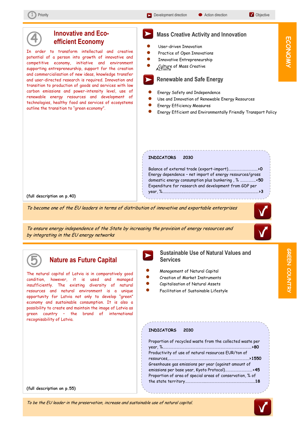**ECONOMY**

ECONOMY



To ensure energy independence of the State by increasing the provision of energy resources and by integrating in the EU energy networks



**GREEN COUNTRY** 

**COUNTRY**

## **Nature as Future Capital**

The natural capital of Latvia is in comparatively good condition, however, it is used and managed insufficiently. The existing diversity of natural resources and natural environment is a unique opportunity for Latvia not only to develop "green" economy and sustainable consumption. It is also a possibility to create and maintain the image of Latvia as green country – the brand of international recognisability of Latvia.

 **Sustainable Use of Natural Values and Services**

- Management of Natural Capital ֧֧֪֪֦֧֪֪֦֚֚֚֚֚֚֚֚֚֚֚֚֚֚֞֝֝֝֓֡֡֡֞֝֬֝֓֝֬֝֓֝֓
- Creation of Market Instruments
- Capitalisation of Natural Assets
- Facilitation of Sustainable Lifestyle

#### **INDICATORS 2030**

| Proportion of recycled waste from the collected waste per |  |
|-----------------------------------------------------------|--|
| Productivity of use of natural resources EUR/ton of       |  |
|                                                           |  |
| Greenhouse gas emissions per year (against amount of      |  |
|                                                           |  |
| Proportion of area of special areas of conservation, % of |  |
|                                                           |  |

 **(full description on p.55)** 

#### To be the EU leader in the preservation, increase and sustainable use of natural capital.

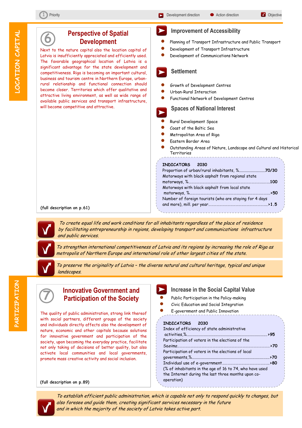**6** 

 $\overline{a}$ 

#### Next to the nature capital also the location capital of Latvia is insufficiently appreciated and efficiently used. The favorable geographical location of Latvia is a significant advantage for the state development and competitiveness. Riga is becoming an important cultural, business and tourism centre in Northern Europe, urbanrural relationship and functional connection should become closer. Territories which offer qualitative and attractive living environment, as well as wide range of available public services and transport infrastructure, will become competitive and attractive. Planning of Transport Infrastructure and Public Transport Development of Transport Infrastructure Development of Communications Network **INDICATORS 2030** Proportion of urban/rural inhabitants, %..........................**70/30** Motorways with black asphalt from regional state motorways, %……………………………………………………………………….…….**100**  Motorways with black asphalt from local state motorways, %…………………………………………………………………………….**>50** Number of foreign tourists (who are staying for 4 days and more), mill. per year………………………………………………………..**>1.5 Perspective of Spatial Development** Growth of Development Centres Urban-Rural Interaction Functional Network of Development Centres Rural Development Space Coast of the Baltic Sea Metropolitan Area of Riga Eastern Border Area Outstanding Areas of Nature, Landscape and Cultural and Historical **Territories Improvement of Accessibility** Ī  **Spaces of National Interest Settlement** Ĩ ľ

 **(full description on p.61)** 

 To create equal life and work conditions for all inhabitants regardless of the place of residence by facilitating entrepreneurship in regions, developing transport and communications infrastructure and public services.



 To strengthen international competitiveness of Latvia and its regions by increasing the role of Riga as metropolis of Northern Europe and international role of other largest cities of the state.



 To preserve the originality of Latvia – the diverse natural and cultural heritage, typical and unique landscapes.

Ī

# **7 Innovative Government and Participation of the Society** Public Participation in the Policy-making

The quality of public administration, strong link thereof with social partners, different groups of the society and individuals directly affects also the development of nature, economic and other capitals because solutions for innovative government and participation of the society, upon becoming the everyday practice, facilitate not only taking of decisions of better quality, but also activate local communities and local governments, promote mass creative activity and social inclusion.

#### **(full description on p.89)**



- 
- Civic Education and Social Integration
- E-government and Public Innovation

| <b>INDICATORS</b><br>2030                                        |  |
|------------------------------------------------------------------|--|
| Index of efficiency of state administrative                      |  |
|                                                                  |  |
| Participation of voters in the elections of the                  |  |
|                                                                  |  |
| Participation of voters in the elections of local                |  |
|                                                                  |  |
|                                                                  |  |
| (% of inhabitants in the age of 16 to 74, who have used          |  |
| the Internet during the last three months upon co-<br>operation) |  |
|                                                                  |  |



 To establish efficient public administration, which is capable not only to respond quickly to changes, but also foresee and guide them, creating significant services necessary in the future and in which the majority of the society of Latvia takes active part.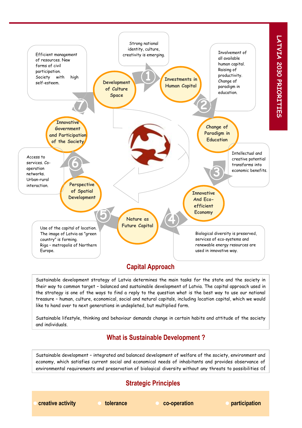

## **Capital Approach**

Sustainable development strategy of Latvia determines the main tasks for the state and the society in their way to common target – balanced and sustainable development of Latvia. The capital approach used in the strategy is one of the ways to find a reply to the question what is the best way to use our national treasure – human, culture, economical, social and natural capitals, including location capital, which we would like to hand over to next generations in undepleted, but multiplied form.

Sustainable lifestyle, thinking and behaviour demands change in certain habits and attitude of the society and individuals.

## **What is Sustainable Development ?**

Sustainable development – integrated and balanced development of welfare of the society, environment and economy, which satisfies current social and economical needs of inhabitants and provides observance of environmental requirements and preservation of biological diversity without any threats to possibilities of

## **Strategic Principles**

**Creative activity Construction Construction Construction creative activity Construction Construction construction**